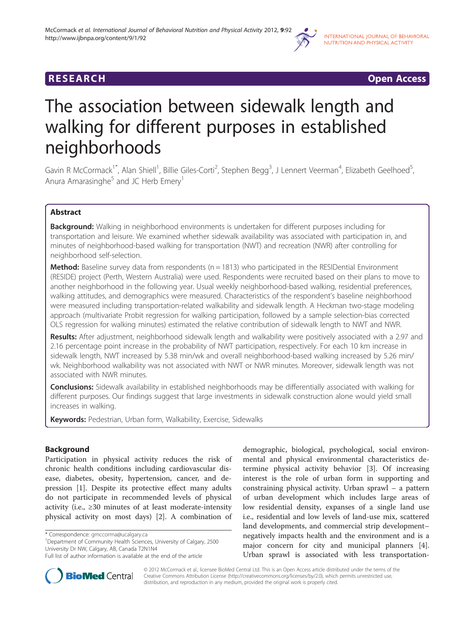

## **RESEARCH RESEARCH CONSUMING ACCESS**

# The association between sidewalk length and walking for different purposes in established neighborhoods

Gavin R McCormack<sup>1\*</sup>, Alan Shiell<sup>1</sup>, Billie Giles-Corti<sup>2</sup>, Stephen Begg<sup>3</sup>, J Lennert Veerman<sup>4</sup>, Elizabeth Geelhoed<sup>5</sup> , Anura Amarasinghe<sup>5</sup> and JC Herb Emery<sup>1</sup>

## Abstract

**Background:** Walking in neighborhood environments is undertaken for different purposes including for transportation and leisure. We examined whether sidewalk availability was associated with participation in, and minutes of neighborhood-based walking for transportation (NWT) and recreation (NWR) after controlling for neighborhood self-selection.

**Method:** Baseline survey data from respondents ( $n = 1813$ ) who participated in the RESIDential Environment (RESIDE) project (Perth, Western Australia) were used. Respondents were recruited based on their plans to move to another neighborhood in the following year. Usual weekly neighborhood-based walking, residential preferences, walking attitudes, and demographics were measured. Characteristics of the respondent's baseline neighborhood were measured including transportation-related walkability and sidewalk length. A Heckman two-stage modeling approach (multivariate Probit regression for walking participation, followed by a sample selection-bias corrected OLS regression for walking minutes) estimated the relative contribution of sidewalk length to NWT and NWR.

Results: After adjustment, neighborhood sidewalk length and walkability were positively associated with a 2.97 and 2.16 percentage point increase in the probability of NWT participation, respectively. For each 10 km increase in sidewalk length, NWT increased by 5.38 min/wk and overall neighborhood-based walking increased by 5.26 min/ wk. Neighborhood walkability was not associated with NWT or NWR minutes. Moreover, sidewalk length was not associated with NWR minutes.

**Conclusions:** Sidewalk availability in established neighborhoods may be differentially associated with walking for different purposes. Our findings suggest that large investments in sidewalk construction alone would yield small increases in walking.

Keywords: Pedestrian, Urban form, Walkability, Exercise, Sidewalks

## Background

Participation in physical activity reduces the risk of chronic health conditions including cardiovascular disease, diabetes, obesity, hypertension, cancer, and depression [\[1\]](#page-10-0). Despite its protective effect many adults do not participate in recommended levels of physical activity (i.e., ≥30 minutes of at least moderate-intensity physical activity on most days) [[2\]](#page-10-0). A combination of

demographic, biological, psychological, social environmental and physical environmental characteristics determine physical activity behavior [\[3\]](#page-10-0). Of increasing interest is the role of urban form in supporting and constraining physical activity. Urban sprawl – a pattern of urban development which includes large areas of low residential density, expanses of a single land use i.e., residential and low levels of land-use mix, scattered land developments, and commercial strip development– negatively impacts health and the environment and is a major concern for city and municipal planners [\[4](#page-10-0)]. Urban sprawl is associated with less transportation-



© 2012 McCormack et al.; licensee BioMed Central Ltd. This is an Open Access article distributed under the terms of the Creative Commons Attribution License (<http://creativecommons.org/licenses/by/2.0>), which permits unrestricted use, distribution, and reproduction in any medium, provided the original work is properly cited.

<sup>\*</sup> Correspondence: [gmccorma@ucalgary.ca](mailto:gmccorma@ucalgary.ca) <sup>1</sup>

<sup>&</sup>lt;sup>1</sup>Department of Community Health Sciences, University of Calgary, 2500 University Dr NW, Calgary, AB, Canada T2N1N4

Full list of author information is available at the end of the article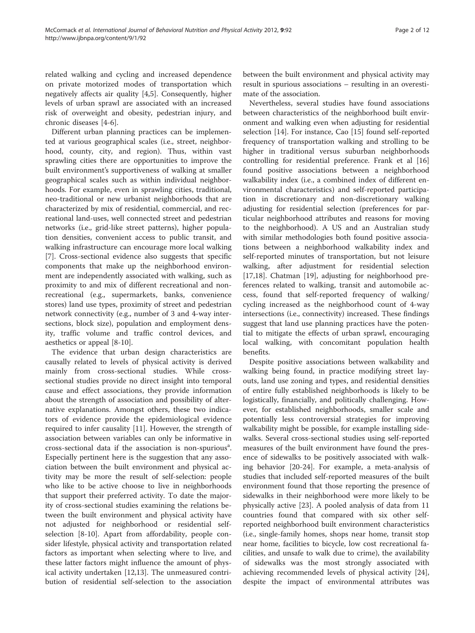related walking and cycling and increased dependence on private motorized modes of transportation which negatively affects air quality [\[4,5](#page-10-0)]. Consequently, higher levels of urban sprawl are associated with an increased risk of overweight and obesity, pedestrian injury, and chronic diseases [[4-6](#page-10-0)].

Different urban planning practices can be implemented at various geographical scales (i.e., street, neighborhood, county, city, and region). Thus, within vast sprawling cities there are opportunities to improve the built environment's supportiveness of walking at smaller geographical scales such as within individual neighborhoods. For example, even in sprawling cities, traditional, neo-traditional or new urbanist neighborhoods that are characterized by mix of residential, commercial, and recreational land-uses, well connected street and pedestrian networks (i.e., grid-like street patterns), higher population densities, convenient access to public transit, and walking infrastructure can encourage more local walking [[7\]](#page-10-0). Cross-sectional evidence also suggests that specific components that make up the neighborhood environment are independently associated with walking, such as proximity to and mix of different recreational and nonrecreational (e.g., supermarkets, banks, convenience stores) land use types, proximity of street and pedestrian network connectivity (e.g., number of 3 and 4-way intersections, block size), population and employment density, traffic volume and traffic control devices, and aesthetics or appeal [\[8-10](#page-10-0)].

The evidence that urban design characteristics are causally related to levels of physical activity is derived mainly from cross-sectional studies. While crosssectional studies provide no direct insight into temporal cause and effect associations, they provide information about the strength of association and possibility of alternative explanations. Amongst others, these two indicators of evidence provide the epidemiological evidence required to infer causality [[11](#page-10-0)]. However, the strength of association between variables can only be informative in cross-sectional data if the association is non-spurious<sup>a</sup>. Especially pertinent here is the suggestion that any association between the built environment and physical activity may be more the result of self-selection: people who like to be active choose to live in neighborhoods that support their preferred activity. To date the majority of cross-sectional studies examining the relations between the built environment and physical activity have not adjusted for neighborhood or residential selfselection [[8-10](#page-10-0)]. Apart from affordability, people consider lifestyle, physical activity and transportation related factors as important when selecting where to live, and these latter factors might influence the amount of physical activity undertaken [\[12,13\]](#page-10-0). The unmeasured contribution of residential self-selection to the association between the built environment and physical activity may result in spurious associations – resulting in an overestimate of the association.

Nevertheless, several studies have found associations between characteristics of the neighborhood built environment and walking even when adjusting for residential selection [[14\]](#page-10-0). For instance, Cao [\[15](#page-10-0)] found self-reported frequency of transportation walking and strolling to be higher in traditional versus suburban neighborhoods controlling for residential preference. Frank et al [[16](#page-10-0)] found positive associations between a neighborhood walkability index (i.e., a combined index of different environmental characteristics) and self-reported participation in discretionary and non-discretionary walking adjusting for residential selection (preferences for particular neighborhood attributes and reasons for moving to the neighborhood). A US and an Australian study with similar methodologies both found positive associations between a neighborhood walkability index and self-reported minutes of transportation, but not leisure walking, after adjustment for residential selection [[17,18\]](#page-10-0). Chatman [[19\]](#page-10-0), adjusting for neighborhood preferences related to walking, transit and automobile access, found that self-reported frequency of walking/ cycling increased as the neighborhood count of 4-way intersections (i.e., connectivity) increased. These findings suggest that land use planning practices have the potential to mitigate the effects of urban sprawl, encouraging local walking, with concomitant population health benefits.

Despite positive associations between walkability and walking being found, in practice modifying street layouts, land use zoning and types, and residential densities of entire fully established neighborhoods is likely to be logistically, financially, and politically challenging. However, for established neighborhoods, smaller scale and potentially less controversial strategies for improving walkability might be possible, for example installing sidewalks. Several cross-sectional studies using self-reported measures of the built environment have found the presence of sidewalks to be positively associated with walking behavior [\[20](#page-10-0)-[24](#page-11-0)]. For example, a meta-analysis of studies that included self-reported measures of the built environment found that those reporting the presence of sidewalks in their neighborhood were more likely to be physically active [[23\]](#page-11-0). A pooled analysis of data from 11 countries found that compared with six other selfreported neighborhood built environment characteristics (i.e., single-family homes, shops near home, transit stop near home, facilities to bicycle, low cost recreational facilities, and unsafe to walk due to crime), the availability of sidewalks was the most strongly associated with achieving recommended levels of physical activity [\[24](#page-11-0)], despite the impact of environmental attributes was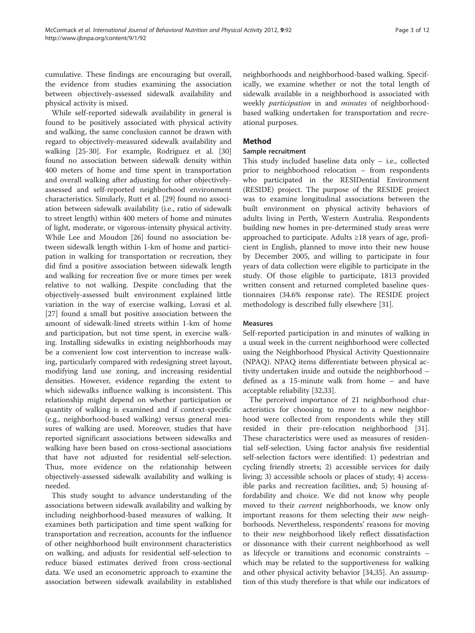cumulative. These findings are encouraging but overall, the evidence from studies examining the association between objectively-assessed sidewalk availability and physical activity is mixed.

While self-reported sidewalk availability in general is found to be positively associated with physical activity and walking, the same conclusion cannot be drawn with regard to objectively-measured sidewalk availability and walking [[25-30](#page-11-0)]. For example, Rodriguez et al. [[30](#page-11-0)] found no association between sidewalk density within 400 meters of home and time spent in transportation and overall walking after adjusting for other objectivelyassessed and self-reported neighborhood environment characteristics. Similarly, Rutt et al. [[29\]](#page-11-0) found no association between sidewalk availability (i.e., ratio of sidewalk to street length) within 400 meters of home and minutes of light, moderate, or vigorous-intensity physical activity. While Lee and Moudon [\[26](#page-11-0)] found no association between sidewalk length within 1-km of home and participation in walking for transportation or recreation, they did find a positive association between sidewalk length and walking for recreation five or more times per week relative to not walking. Despite concluding that the objectively-assessed built environment explained little variation in the way of exercise walking, Lovasi et al. [[27\]](#page-11-0) found a small but positive association between the amount of sidewalk-lined streets within 1-km of home and participation, but not time spent, in exercise walking. Installing sidewalks in existing neighborhoods may be a convenient low cost intervention to increase walking, particularly compared with redesigning street layout, modifying land use zoning, and increasing residential densities. However, evidence regarding the extent to which sidewalks influence walking is inconsistent. This relationship might depend on whether participation or quantity of walking is examined and if context-specific (e.g., neighborhood-based walking) versus general measures of walking are used. Moreover, studies that have reported significant associations between sidewalks and walking have been based on cross-sectional associations that have not adjusted for residential self-selection. Thus, more evidence on the relationship between objectively-assessed sidewalk availability and walking is needed.

This study sought to advance understanding of the associations between sidewalk availability and walking by including neighborhood-based measures of walking. It examines both participation and time spent walking for transportation and recreation, accounts for the influence of other neighborhood built environment characteristics on walking, and adjusts for residential self-selection to reduce biased estimates derived from cross-sectional data. We used an econometric approach to examine the association between sidewalk availability in established

neighborhoods and neighborhood-based walking. Specifically, we examine whether or not the total length of sidewalk available in a neighborhood is associated with weekly participation in and minutes of neighborhoodbased walking undertaken for transportation and recreational purposes.

## Method

#### Sample recruitment

This study included baseline data only – i.e., collected prior to neighborhood relocation – from respondents who participated in the RESIDential Environment (RESIDE) project. The purpose of the RESIDE project was to examine longitudinal associations between the built environment on physical activity behaviors of adults living in Perth, Western Australia. Respondents building new homes in pre-determined study areas were approached to participate. Adults ≥18 years of age, proficient in English, planned to move into their new house by December 2005, and willing to participate in four years of data collection were eligible to participate in the study. Of those eligible to participate, 1813 provided written consent and returned completed baseline questionnaires (34.6% response rate). The RESIDE project methodology is described fully elsewhere [\[31](#page-11-0)].

## Measures

Self-reported participation in and minutes of walking in a usual week in the current neighborhood were collected using the Neighborhood Physical Activity Questionnaire (NPAQ). NPAQ items differentiate between physical activity undertaken inside and outside the neighborhood – defined as a 15-minute walk from home – and have acceptable reliability [\[32,33\]](#page-11-0).

The perceived importance of 21 neighborhood characteristics for choosing to move to a new neighborhood were collected from respondents while they still resided in their pre-relocation neighborhood [\[31](#page-11-0)]. These characteristics were used as measures of residential self-selection. Using factor analysis five residential self-selection factors were identified: 1) pedestrian and cycling friendly streets; 2) accessible services for daily living; 3) accessible schools or places of study; 4) accessible parks and recreation facilities, and; 5) housing affordability and choice. We did not know why people moved to their *current* neighborhoods, we know only important reasons for them selecting their new neighborhoods. Nevertheless, respondents' reasons for moving to their new neighborhood likely reflect dissatisfaction or dissonance with their current neighborhood as well as lifecycle or transitions and economic constraints – which may be related to the supportiveness for walking and other physical activity behavior [\[34,35\]](#page-11-0). An assumption of this study therefore is that while our indicators of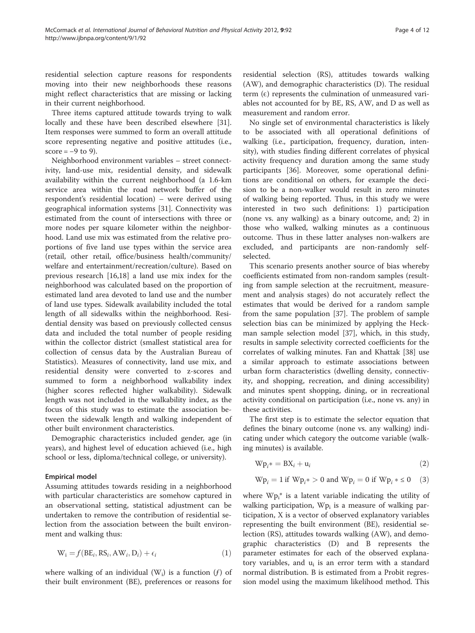residential selection capture reasons for respondents moving into their new neighborhoods these reasons might reflect characteristics that are missing or lacking in their current neighborhood.

Three items captured attitude towards trying to walk locally and these have been described elsewhere [\[31](#page-11-0)]. Item responses were summed to form an overall attitude score representing negative and positive attitudes (i.e., score =  $-9$  to 9).

Neighborhood environment variables – street connectivity, land-use mix, residential density, and sidewalk availability within the current neighborhood (a 1.6-km service area within the road network buffer of the respondent's residential location) – were derived using geographical information systems [[31](#page-11-0)]. Connectivity was estimated from the count of intersections with three or more nodes per square kilometer within the neighborhood. Land use mix was estimated from the relative proportions of five land use types within the service area (retail, other retail, office/business health/community/ welfare and entertainment/recreation/culture). Based on previous research [\[16,18](#page-10-0)] a land use mix index for the neighborhood was calculated based on the proportion of estimated land area devoted to land use and the number of land use types. Sidewalk availability included the total length of all sidewalks within the neighborhood. Residential density was based on previously collected census data and included the total number of people residing within the collector district (smallest statistical area for collection of census data by the Australian Bureau of Statistics). Measures of connectivity, land use mix, and residential density were converted to z-scores and summed to form a neighborhood walkability index (higher scores reflected higher walkability). Sidewalk length was not included in the walkability index, as the focus of this study was to estimate the association between the sidewalk length and walking independent of other built environment characteristics.

Demographic characteristics included gender, age (in years), and highest level of education achieved (i.e., high school or less, diploma/technical college, or university).

## Empirical model

Assuming attitudes towards residing in a neighborhood with particular characteristics are somehow captured in an observational setting, statistical adjustment can be undertaken to remove the contribution of residential selection from the association between the built environment and walking thus:

$$
W_i = f(BE_i, RS_i, AW_i, D_i) + \epsilon_i
$$
\n(1)

where walking of an individual  $(W_i)$  is a function  $(f)$  of their built environment (BE), preferences or reasons for residential selection (RS), attitudes towards walking (AW), and demographic characteristics (D). The residual term  $(\epsilon)$  represents the culmination of unmeasured variables not accounted for by BE, RS, AW, and D as well as measurement and random error.

No single set of environmental characteristics is likely to be associated with all operational definitions of walking (i.e., participation, frequency, duration, intensity), with studies finding different correlates of physical activity frequency and duration among the same study participants [\[36](#page-11-0)]. Moreover, some operational definitions are conditional on others, for example the decision to be a non-walker would result in zero minutes of walking being reported. Thus, in this study we were interested in two such definitions: 1) participation (none vs. any walking) as a binary outcome, and; 2) in those who walked, walking minutes as a continuous outcome. Thus in these latter analyses non-walkers are excluded, and participants are non-randomly selfselected.

This scenario presents another source of bias whereby coefficients estimated from non-random samples (resulting from sample selection at the recruitment, measurement and analysis stages) do not accurately reflect the estimates that would be derived for a random sample from the same population [[37\]](#page-11-0). The problem of sample selection bias can be minimized by applying the Heckman sample selection model [[37\]](#page-11-0), which, in this study, results in sample selectivity corrected coefficients for the correlates of walking minutes. Fan and Khattak [[38](#page-11-0)] use a similar approach to estimate associations between urban form characteristics (dwelling density, connectivity, and shopping, recreation, and dining accessibility) and minutes spent shopping, dining, or in recreational activity conditional on participation (i.e., none vs. any) in these activities.

The first step is to estimate the selector equation that defines the binary outcome (none vs. any walking) indicating under which category the outcome variable (walking minutes) is available.

$$
Wp_i* = BX_i + u_i \tag{2}
$$

$$
\mathrm{Wp}_i = 1 \text{ if } \mathrm{Wp}_i* > 0 \text{ and } \mathrm{Wp}_i = 0 \text{ if } \mathrm{Wp}_i* \leq 0 \quad (3)
$$

where  $Wp_i^*$  is a latent variable indicating the utility of walking participation,  $Wp_i$  is a measure of walking participation, X is a vector of observed explanatory variables representing the built environment (BE), residential selection (RS), attitudes towards walking (AW), and demographic characteristics (D) and B represents the parameter estimates for each of the observed explanatory variables, and  $u_i$  is an error term with a standard normal distribution. B is estimated from a Probit regression model using the maximum likelihood method. This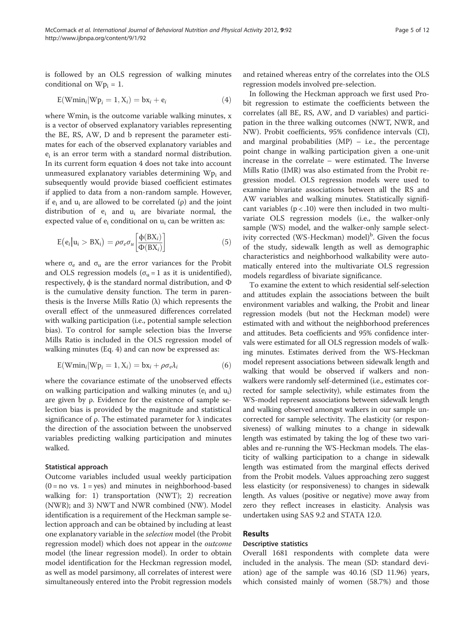is followed by an OLS regression of walking minutes conditional on  $Wp_i = 1$ .

$$
E(\text{Wmin}_i|\text{Wp}_i=1,\text{X}_i)=\text{bx}_i+\text{e}_i
$$
\n<sup>(4)</sup>

where  $Wmin_i$  is the outcome variable walking minutes,  $x$ is a vector of observed explanatory variables representing the BE, RS, AW, D and b represent the parameter estimates for each of the observed explanatory variables and  $e_i$  is an error term with a standard normal distribution. In its current form equation 4 does not take into account unmeasured explanatory variables determining  $Wp_i$  and subsequently would provide biased coefficient estimates if applied to data from a non-random sample. However, if  $e_i$  and  $u_i$  are allowed to be correlated ( $\rho$ ) and the joint distribution of  $e_i$  and  $u_i$  are bivariate normal, the expected value of  $e_i$  conditional on  $u_i$  can be written as:

$$
E(e_i|u_i > BX_i) = \rho \sigma_e \sigma_u \left[\frac{\phi(BX_i)}{\Phi(BX_i)}\right]
$$
\n(5)

where  $\sigma_e$  and  $\sigma_u$  are the error variances for the Probit and OLS regression models ( $\sigma_u = 1$  as it is unidentified), respectively, ϕ is the standard normal distribution, and Φ is the cumulative density function. The term in parenthesis is the Inverse Mills Ratio  $(λ)$  which represents the overall effect of the unmeasured differences correlated with walking participation (i.e., potential sample selection bias). To control for sample selection bias the Inverse Mills Ratio is included in the OLS regression model of walking minutes (Eq. 4) and can now be expressed as:

$$
E(\text{Wmin}_i|\text{Wp}_i=1,\text{X}_i)=\text{bx}_i+\rho\sigma_e\lambda_i
$$
 (6)

where the covariance estimate of the unobserved effects on walking participation and walking minutes  $(e_i$  and  $u_i$ ) are given by ρ. Evidence for the existence of sample selection bias is provided by the magnitude and statistical significance of  $\rho$ . The estimated parameter for  $\lambda$  indicates the direction of the association between the unobserved variables predicting walking participation and minutes walked.

#### Statistical approach

Outcome variables included usual weekly participation  $(0 = no \text{ vs. } 1 = yes)$  and minutes in neighborhood-based walking for: 1) transportation (NWT); 2) recreation (NWR); and 3) NWT and NWR combined (NW). Model identification is a requirement of the Heckman sample selection approach and can be obtained by including at least one explanatory variable in the selection model (the Probit regression model) which does not appear in the outcome model (the linear regression model). In order to obtain model identification for the Heckman regression model, as well as model parsimony, all correlates of interest were simultaneously entered into the Probit regression models

and retained whereas entry of the correlates into the OLS regression models involved pre-selection.

In following the Heckman approach we first used Probit regression to estimate the coefficients between the correlates (all BE, RS, AW, and D variables) and participation in the three walking outcomes (NWT, NWR, and NW). Probit coefficients, 95% confidence intervals (CI), and marginal probabilities  $(MP)$  – i.e., the percentage point change in walking participation given a one-unit increase in the correlate – were estimated. The Inverse Mills Ratio (IMR) was also estimated from the Probit regression model. OLS regression models were used to examine bivariate associations between all the RS and AW variables and walking minutes. Statistically significant variables  $(p < .10)$  were then included in two multivariate OLS regression models (i.e., the walker-only sample (WS) model, and the walker-only sample selectivity corrected (WS-Heckman) model)<sup>b</sup>. Given the focus of the study, sidewalk length as well as demographic characteristics and neighborhood walkability were automatically entered into the multivariate OLS regression models regardless of bivariate significance.

To examine the extent to which residential self-selection and attitudes explain the associations between the built environment variables and walking, the Probit and linear regression models (but not the Heckman model) were estimated with and without the neighborhood preferences and attitudes. Beta coefficients and 95% confidence intervals were estimated for all OLS regression models of walking minutes. Estimates derived from the WS-Heckman model represent associations between sidewalk length and walking that would be observed if walkers and nonwalkers were randomly self-determined (i.e., estimates corrected for sample selectivity), while estimates from the WS-model represent associations between sidewalk length and walking observed amongst walkers in our sample uncorrected for sample selectivity. The elasticity (or responsiveness) of walking minutes to a change in sidewalk length was estimated by taking the log of these two variables and re-running the WS-Heckman models. The elasticity of walking participation to a change in sidewalk length was estimated from the marginal effects derived from the Probit models. Values approaching zero suggest less elasticity (or responsiveness) to changes in sidewalk length. As values (positive or negative) move away from zero they reflect increases in elasticity. Analysis was undertaken using SAS 9.2 and STATA 12.0.

#### Results

#### Descriptive statistics

Overall 1681 respondents with complete data were included in the analysis. The mean (SD: standard deviation) age of the sample was 40.16 (SD 11.96) years, which consisted mainly of women (58.7%) and those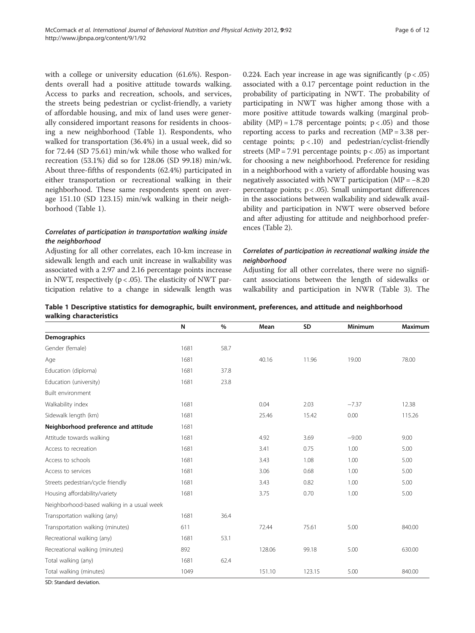with a college or university education (61.6%). Respondents overall had a positive attitude towards walking. Access to parks and recreation, schools, and services, the streets being pedestrian or cyclist-friendly, a variety of affordable housing, and mix of land uses were generally considered important reasons for residents in choosing a new neighborhood (Table 1). Respondents, who walked for transportation (36.4%) in a usual week, did so for 72.44 (SD 75.61) min/wk while those who walked for recreation (53.1%) did so for 128.06 (SD 99.18) min/wk. About three-fifths of respondents (62.4%) participated in either transportation or recreational walking in their neighborhood. These same respondents spent on average 151.10 (SD 123.15) min/wk walking in their neighborhood (Table 1).

## Correlates of participation in transportation walking inside the neighborhood

Adjusting for all other correlates, each 10-km increase in sidewalk length and each unit increase in walkability was associated with a 2.97 and 2.16 percentage points increase in NWT, respectively ( $p < .05$ ). The elasticity of NWT participation relative to a change in sidewalk length was 0.224. Each year increase in age was significantly  $(p < .05)$ associated with a 0.17 percentage point reduction in the probability of participating in NWT. The probability of participating in NWT was higher among those with a more positive attitude towards walking (marginal probability  $(MP) = 1.78$  percentage points;  $p < .05$ ) and those reporting access to parks and recreation (MP = 3.38 percentage points;  $p < .10$ ) and pedestrian/cyclist-friendly streets ( $MP = 7.91$  percentage points;  $p < .05$ ) as important for choosing a new neighborhood. Preference for residing in a neighborhood with a variety of affordable housing was negatively associated with NWT participation (MP = −8.20 percentage points; p < .05). Small unimportant differences in the associations between walkability and sidewalk availability and participation in NWT were observed before and after adjusting for attitude and neighborhood preferences (Table [2](#page-6-0)).

## Correlates of participation in recreational walking inside the neighborhood

Adjusting for all other correlates, there were no significant associations between the length of sidewalks or walkability and participation in NWR (Table [3](#page-7-0)). The

Table 1 Descriptive statistics for demographic, built environment, preferences, and attitude and neighborhood walking characteristics

|                                            | Ν    | $\%$ | Mean   | SD     | Minimum | Maximum |
|--------------------------------------------|------|------|--------|--------|---------|---------|
| Demographics                               |      |      |        |        |         |         |
| Gender (female)                            | 1681 | 58.7 |        |        |         |         |
| Age                                        | 1681 |      | 40.16  | 11.96  | 19.00   | 78.00   |
| Education (diploma)                        | 1681 | 37.8 |        |        |         |         |
| Education (university)                     | 1681 | 23.8 |        |        |         |         |
| Built environment                          |      |      |        |        |         |         |
| Walkability index                          | 1681 |      | 0.04   | 2.03   | $-7.37$ | 12.38   |
| Sidewalk length (km)                       | 1681 |      | 25.46  | 15.42  | 0.00    | 115.26  |
| Neighborhood preference and attitude       | 1681 |      |        |        |         |         |
| Attitude towards walking                   | 1681 |      | 4.92   | 3.69   | $-9.00$ | 9.00    |
| Access to recreation                       | 1681 |      | 3.41   | 0.75   | 1.00    | 5.00    |
| Access to schools                          | 1681 |      | 3.43   | 1.08   | 1.00    | 5.00    |
| Access to services                         | 1681 |      | 3.06   | 0.68   | 1.00    | 5.00    |
| Streets pedestrian/cycle friendly          | 1681 |      | 3.43   | 0.82   | 1.00    | 5.00    |
| Housing affordability/variety              | 1681 |      | 3.75   | 0.70   | 1.00    | 5.00    |
| Neighborhood-based walking in a usual week |      |      |        |        |         |         |
| Transportation walking (any)               | 1681 | 36.4 |        |        |         |         |
| Transportation walking (minutes)           | 611  |      | 72.44  | 75.61  | 5.00    | 840.00  |
| Recreational walking (any)                 | 1681 | 53.1 |        |        |         |         |
| Recreational walking (minutes)             | 892  |      | 128.06 | 99.18  | 5.00    | 630.00  |
| Total walking (any)                        | 1681 | 62.4 |        |        |         |         |
| Total walking (minutes)                    | 1049 |      | 151.10 | 123.15 | 5.00    | 840.00  |

SD: Standard deviation.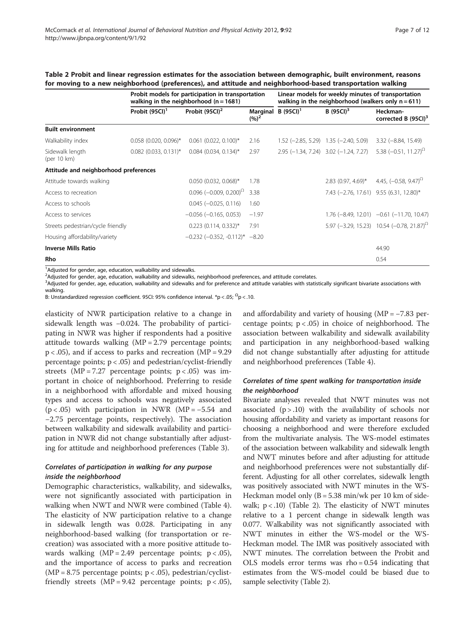|  | Page 7 of 12 |  |  |  |
|--|--------------|--|--|--|
|--|--------------|--|--|--|

|                                           | Probit models for participation in transportation<br>walking in the neighborhood $(n = 1681)$ |                                           |         | Linear models for weekly minutes of transportation<br>walking in the neighborhood (walkers only $n = 611$ ) |                                           |                                                                      |  |
|-------------------------------------------|-----------------------------------------------------------------------------------------------|-------------------------------------------|---------|-------------------------------------------------------------------------------------------------------------|-------------------------------------------|----------------------------------------------------------------------|--|
|                                           | Probit $(95Cl)^1$                                                                             | Probit $(95C)$ <sup>2</sup>               | $(%)^2$ | Marginal B (95CI) <sup>1</sup>                                                                              | <b>B</b> (95CI) <sup>3</sup>              | Heckman-<br>corrected B (95Cl) <sup>3</sup>                          |  |
| <b>Built environment</b>                  |                                                                                               |                                           |         |                                                                                                             |                                           |                                                                      |  |
| Walkability index                         | $0.058$ (0.020, 0.096)*                                                                       | $0.061$ (0.022, 0.100)*                   | 2.16    |                                                                                                             | $1.52$ (-2.85, 5.29) $1.35$ (-2.40, 5.09) | $3.32 (-8.84, 15.49)$                                                |  |
| Sidewalk length<br>(per $10 \text{ km}$ ) | $0.082$ (0.033, 0.131)*                                                                       | $0.084$ (0.034, 0.134)*                   | 2.97    |                                                                                                             | $2.95$ (-1.34, 7.24) $3.02$ (-1.24, 7.27) | 5.38 $(-0.51, 11.27)^{2}$                                            |  |
| Attitude and neighborhood preferences     |                                                                                               |                                           |         |                                                                                                             |                                           |                                                                      |  |
| Attitude towards walking                  |                                                                                               | $0.050$ (0.032, 0.068)*                   | 1.78    |                                                                                                             | $2.83$ (0.97, 4.69)*                      | 4.45, $(-0.58, 9.47)^{1/2}$                                          |  |
| Access to recreation                      |                                                                                               | $0.096$ (-0.009, 0.200) <sup>12</sup>     | 3.38    |                                                                                                             | 7.43 (-2.76, 17.61) 9.55 (6.31, 12.80)*   |                                                                      |  |
| Access to schools                         |                                                                                               | $0.045 (-0.025, 0.116)$                   | 1.60    |                                                                                                             |                                           |                                                                      |  |
| Access to services                        |                                                                                               | $-0.056$ ( $-0.165$ , 0.053)              | $-1.97$ |                                                                                                             |                                           | $1.76$ (-8.49, 12.01) -0.61 (-11.70, 10.47)                          |  |
| Streets pedestrian/cycle friendly         |                                                                                               | $0.223$ (0.114, 0.332)*                   | 7.91    |                                                                                                             |                                           | 5.97 (-3.29, 15.23) 10.54 (-0.78, 21.87) <sup><math>(1)</math></sup> |  |
| Housing affordability/variety             |                                                                                               | $-0.232$ ( $-0.352$ , $-0.112$ )* $-8.20$ |         |                                                                                                             |                                           |                                                                      |  |
| <b>Inverse Mills Ratio</b>                |                                                                                               |                                           |         |                                                                                                             |                                           | 44.90                                                                |  |
| <b>Rho</b>                                |                                                                                               |                                           |         |                                                                                                             |                                           | 0.54                                                                 |  |

<span id="page-6-0"></span>Table 2 Probit and linear regression estimates for the association between demographic, built environment, reasons for moving to a new neighborhood (preferences), and attitude and neighborhood-based transportation walking

<sup>1</sup>Adjusted for gender, age, education, walkability and sidewalks.

2 Adjusted for gender, age, education, walkability and sidewalks, neighborhood preferences, and attitude correlates.

<sup>3</sup>Adjusted for gender, age, education, walkability and sidewalks and for preference and attitude variables with statistically significant bivariate associations with

B: Unstandardized regression coefficient. 95CI: 95% confidence interval. \*p < .05;  $\Omega$ p < .10.

elasticity of NWR participation relative to a change in sidewalk length was −0.024. The probability of participating in NWR was higher if respondents had a positive attitude towards walking (MP = 2.79 percentage points;  $p < .05$ ), and if access to parks and recreation (MP = 9.29) percentage points;  $p < .05$ ) and pedestrian/cyclist-friendly streets  $(MP = 7.27$  percentage points;  $p < .05$ ) was important in choice of neighborhood. Preferring to reside in a neighborhood with affordable and mixed housing types and access to schools was negatively associated (p < .05) with participation in NWR (MP = −5.54 and −2.75 percentage points, respectively). The association between walkability and sidewalk availability and participation in NWR did not change substantially after adjusting for attitude and neighborhood preferences (Table [3](#page-7-0)).

## Correlates of participation in walking for any purpose inside the neighborhood

Demographic characteristics, walkability, and sidewalks, were not significantly associated with participation in walking when NWT and NWR were combined (Table [4](#page-8-0)). The elasticity of NW participation relative to a change in sidewalk length was 0.028. Participating in any neighborhood-based walking (for transportation or recreation) was associated with a more positive attitude towards walking  $(MP = 2.49$  percentage points;  $p < .05$ ), and the importance of access to parks and recreation  $(MP = 8.75$  percentage points;  $p < .05$ ), pedestrian/cyclistfriendly streets  $(MP = 9.42$  percentage points;  $p < .05$ ),

and affordability and variety of housing (MP = −7.83 percentage points; p < .05) in choice of neighborhood. The association between walkability and sidewalk availability and participation in any neighborhood-based walking did not change substantially after adjusting for attitude and neighborhood preferences (Table [4](#page-8-0)).

## Correlates of time spent walking for transportation inside the neighborhood

Bivariate analyses revealed that NWT minutes was not associated  $(p > .10)$  with the availability of schools nor housing affordability and variety as important reasons for choosing a neighborhood and were therefore excluded from the multivariate analysis. The WS-model estimates of the association between walkability and sidewalk length and NWT minutes before and after adjusting for attitude and neighborhood preferences were not substantially different. Adjusting for all other correlates, sidewalk length was positively associated with NWT minutes in the WS-Heckman model only  $(B = 5.38 \text{ min/wk per 10 km of side-})$ walk;  $p < .10$ ) (Table 2). The elasticity of NWT minutes relative to a 1 percent change in sidewalk length was 0.077. Walkability was not significantly associated with NWT minutes in either the WS-model or the WS-Heckman model. The IMR was positively associated with NWT minutes. The correlation between the Probit and OLS models error terms was rho = 0.54 indicating that estimates from the WS-model could be biased due to sample selectivity (Table 2).

walking.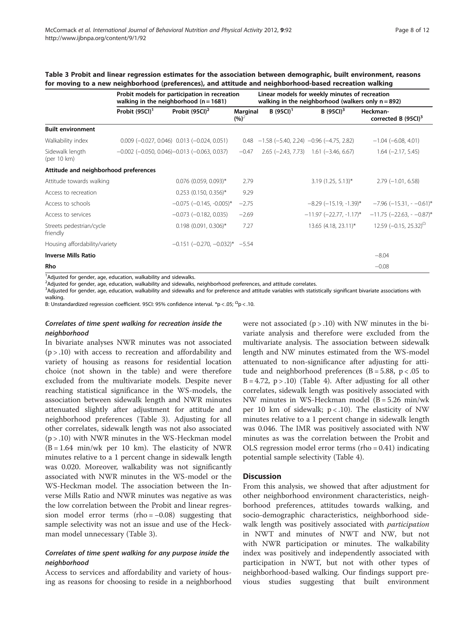|                                       |                            | Probit models for participation in recreation<br>walking in the neighborhood ( $n = 1681$ ) |                     | Linear models for weekly minutes of recreation<br>walking in the neighborhood (walkers only $n = 892$ ) |                                                |                                                     |  |
|---------------------------------------|----------------------------|---------------------------------------------------------------------------------------------|---------------------|---------------------------------------------------------------------------------------------------------|------------------------------------------------|-----------------------------------------------------|--|
|                                       | Probit (95Cl) <sup>1</sup> | Probit (95Cl) <sup>2</sup>                                                                  | Marginal<br>$(%)^2$ | $B(95Cl)^1$                                                                                             | <b>B</b> (95CI) <sup>3</sup>                   | Heckman-<br>corrected B (95Cl) <sup>3</sup>         |  |
| <b>Built environment</b>              |                            |                                                                                             |                     |                                                                                                         |                                                |                                                     |  |
| Walkability index                     |                            | $0.009$ ( $-0.027$ , 0.046) $0.013$ ( $-0.024$ , 0.051)                                     |                     |                                                                                                         | $0.48$ -1.58 (-5.40, 2.24) -0.96 (-4.75, 2.82) | $-1.04$ ( $-6.08$ , 4.01)                           |  |
| Sidewalk length<br>(per 10 km)        |                            | $-0.002$ ( $-0.050$ , 0.046) $-0.013$ ( $-0.063$ , 0.037)                                   | $-0.47$             |                                                                                                         | $2.65$ (-2.43, 7.73) 1.61 (-3.46, 6.67)        | $1.64$ (-2.17, 5.45)                                |  |
| Attitude and neighborhood preferences |                            |                                                                                             |                     |                                                                                                         |                                                |                                                     |  |
| Attitude towards walking              |                            | $0.076$ (0.059, 0.093)*                                                                     | 2.79                |                                                                                                         | $3.19(1.25, 5.13)^{*}$                         | $2.79(-1.01, 6.58)$                                 |  |
| Access to recreation                  |                            | $0.253$ (0.150, 0.356)*                                                                     | 9.29                |                                                                                                         |                                                |                                                     |  |
| Access to schools                     |                            | $-0.075$ ( $-0.145$ , $-0.005$ )*                                                           | $-2.75$             |                                                                                                         | $-8.29$ ( $-15.19$ , $-1.39$ )*                | $-7.96$ ( $-15.31$ , $-0.61$ <sup>*</sup>           |  |
| Access to services                    |                            | $-0.073$ $(-0.182, 0.035)$                                                                  | $-2.69$             |                                                                                                         | $-11.97$ (-22.77, -1.17)*                      | $-11.75$ (-22.63, - -0.87)*                         |  |
| Streets pedestrian/cycle<br>friendly  |                            | $0.198$ (0.091, 0.306)*                                                                     | 7.27                |                                                                                                         | 13.65 (4.18, 23.11)*                           | 12.59 (-0.15, 25.32) <sup><math>\Omega</math></sup> |  |
| Housing affordability/variety         |                            | $-0.151$ $(-0.270, -0.032)^*$ $-5.54$                                                       |                     |                                                                                                         |                                                |                                                     |  |
| <b>Inverse Mills Ratio</b>            |                            |                                                                                             |                     |                                                                                                         |                                                | $-8.04$                                             |  |
| <b>Rho</b>                            |                            |                                                                                             |                     |                                                                                                         |                                                | $-0.08$                                             |  |

<span id="page-7-0"></span>Table 3 Probit and linear regression estimates for the association between demographic, built environment, reasons for moving to a new neighborhood (preferences), and attitude and neighborhood-based recreation walking

<sup>1</sup>Adjusted for gender, age, education, walkability and sidewalks.

2 Adjusted for gender, age, education, walkability and sidewalks, neighborhood preferences, and attitude correlates.

<sup>3</sup>Adjusted for gender, age, education, walkability and sidewalks and for preference and attitude variables with statistically significant bivariate associations with walking.

B: Unstandardized regression coefficient. 95CI: 95% confidence interval. \*p < .05;  $\Omega$ p < .10.

#### Correlates of time spent walking for recreation inside the neighborhood

In bivariate analyses NWR minutes was not associated  $(p > .10)$  with access to recreation and affordability and variety of housing as reasons for residential location choice (not shown in the table) and were therefore excluded from the multivariate models. Despite never reaching statistical significance in the WS-models, the association between sidewalk length and NWR minutes attenuated slightly after adjustment for attitude and neighborhood preferences (Table 3). Adjusting for all other correlates, sidewalk length was not also associated  $(p > .10)$  with NWR minutes in the WS-Heckman model  $(B = 1.64$  min/wk per 10 km). The elasticity of NWR minutes relative to a 1 percent change in sidewalk length was 0.020. Moreover, walkability was not significantly associated with NWR minutes in the WS-model or the WS-Heckman model. The association between the Inverse Mills Ratio and NWR minutes was negative as was the low correlation between the Probit and linear regression model error terms  $(rho = -0.08)$  suggesting that sample selectivity was not an issue and use of the Heckman model unnecessary (Table 3).

## Correlates of time spent walking for any purpose inside the neighborhood

Access to services and affordability and variety of housing as reasons for choosing to reside in a neighborhood were not associated  $(p > .10)$  with NW minutes in the bivariate analysis and therefore were excluded from the multivariate analysis. The association between sidewalk length and NW minutes estimated from the WS-model attenuated to non-significance after adjusting for attitude and neighborhood preferences  $(B = 5.88, p < .05$  to  $B = 4.72$ ,  $p > .10$ ) (Table [4\)](#page-8-0). After adjusting for all other correlates, sidewalk length was positively associated with NW minutes in WS-Heckman model (B = 5.26 min/wk per 10 km of sidewalk;  $p < .10$ ). The elasticity of NW minutes relative to a 1 percent change in sidewalk length was 0.046. The IMR was positively associated with NW minutes as was the correlation between the Probit and OLS regression model error terms (rho = 0.41) indicating potential sample selectivity (Table [4](#page-8-0)).

#### **Discussion**

From this analysis, we showed that after adjustment for other neighborhood environment characteristics, neighborhood preferences, attitudes towards walking, and socio-demographic characteristics, neighborhood sidewalk length was positively associated with *participation* in NWT and minutes of NWT and NW, but not with NWR participation or minutes. The walkability index was positively and independently associated with participation in NWT, but not with other types of neighborhood-based walking. Our findings support previous studies suggesting that built environment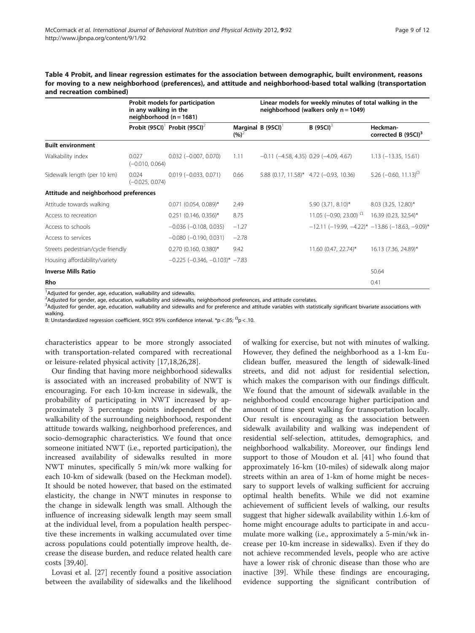#### <span id="page-8-0"></span>Table 4 Probit, and linear regression estimates for the association between demographic, built environment, reasons for moving to a new neighborhood (preferences), and attitude and neighborhood-based total walking (transportation and recreation combined)

|                                       | Probit models for participation<br>in any walking in the<br>neighborhood $(n = 1681)$ |                                           |         | Linear models for weekly minutes of total walking in the<br>neighborhood (walkers only $n = 1049$ ) |                                              |                                                   |  |
|---------------------------------------|---------------------------------------------------------------------------------------|-------------------------------------------|---------|-----------------------------------------------------------------------------------------------------|----------------------------------------------|---------------------------------------------------|--|
|                                       |                                                                                       | Probit $(95Cl)^1$ Probit $(95Cl)^2$       | $(%)^2$ | Marginal B $(95Cl)$ <sup>1</sup>                                                                    | <b>B</b> (95CI) <sup>3</sup>                 | Heckman-<br>corrected B $(95Cl)^3$                |  |
| <b>Built environment</b>              |                                                                                       |                                           |         |                                                                                                     |                                              |                                                   |  |
| Walkability index                     | 0.027<br>$(-0.010, 0.064)$                                                            | $0.032$ (-0.007, 0.070)                   | 1.11    | $-0.11$ ( $-4.58$ , 4.35) 0.29 ( $-4.09$ , 4.67)                                                    |                                              | $1.13 (-13.35, 15.61)$                            |  |
| Sidewalk length (per 10 km)           | 0.024<br>$(-0.025, 0.074)$                                                            | $0.019 (-0.033, 0.071)$                   | 0.66    |                                                                                                     | 5.88 $(0.17, 11.58)^*$ 4.72 $(-0.93, 10.36)$ | 5.26 $(-0.60, 11.13)^{2}$                         |  |
| Attitude and neighborhood preferences |                                                                                       |                                           |         |                                                                                                     |                                              |                                                   |  |
| Attitude towards walking              |                                                                                       | $0.071$ (0.054, 0.089)*                   | 2.49    |                                                                                                     | 5.90 $(3.71, 8.10)^*$                        | 8.03 (3.25, 12.80)*                               |  |
| Access to recreation                  |                                                                                       | $0.251$ (0.146, 0.356)*                   | 8.75    |                                                                                                     | 11.05 (-0.90, 23.00) $\Omega$                | 16.39 (0.23, 32.54)*                              |  |
| Access to schools                     |                                                                                       | $-0.036$ $(-0.108, 0.035)$                | $-1.27$ |                                                                                                     |                                              | $-12.11$ (-19.99, -4.22)* -13.86 (-18.63, -9.09)* |  |
| Access to services                    |                                                                                       | $-0.080$ ( $-0.190$ , 0.031)              | $-2.78$ |                                                                                                     |                                              |                                                   |  |
| Streets pedestrian/cycle friendly     |                                                                                       | $0.270$ (0.160, 0.380)*                   | 9.42    |                                                                                                     | $11.60$ (0.47, 22.74)*                       | 16.13 (7.36, 24.89)*                              |  |
| Housing affordability/variety         |                                                                                       | $-0.225$ ( $-0.346$ , $-0.103$ )* $-7.83$ |         |                                                                                                     |                                              |                                                   |  |
| <b>Inverse Mills Ratio</b>            |                                                                                       |                                           |         |                                                                                                     |                                              | 50.64                                             |  |
| Rho                                   |                                                                                       |                                           |         |                                                                                                     |                                              | 0.41                                              |  |

<sup>1</sup>Adjusted for gender, age, education, walkability and sidewalks.

2 Adjusted for gender, age, education, walkability and sidewalks, neighborhood preferences, and attitude correlates.

<sup>3</sup>Adjusted for gender, age, education, walkability and sidewalks and for preference and attitude variables with statistically significant bivariate associations with walking.

B: Unstandardized regression coefficient. 95CI: 95% confidence interval. \*p < .05;  $\Omega$ p < .10.

characteristics appear to be more strongly associated with transportation-related compared with recreational or leisure-related physical activity [\[17,18](#page-10-0)[,26,28\]](#page-11-0).

Our finding that having more neighborhood sidewalks is associated with an increased probability of NWT is encouraging. For each 10-km increase in sidewalk, the probability of participating in NWT increased by approximately 3 percentage points independent of the walkability of the surrounding neighborhood, respondent attitude towards walking, neighborhood preferences, and socio-demographic characteristics. We found that once someone initiated NWT (i.e., reported participation), the increased availability of sidewalks resulted in more NWT minutes, specifically 5 min/wk more walking for each 10-km of sidewalk (based on the Heckman model). It should be noted however, that based on the estimated elasticity, the change in NWT minutes in response to the change in sidewalk length was small. Although the influence of increasing sidewalk length may seem small at the individual level, from a population health perspective these increments in walking accumulated over time across populations could potentially improve health, decrease the disease burden, and reduce related health care costs [\[39,40\]](#page-11-0).

Lovasi et al. [[27\]](#page-11-0) recently found a positive association between the availability of sidewalks and the likelihood of walking for exercise, but not with minutes of walking. However, they defined the neighborhood as a 1-km Euclidean buffer, measured the length of sidewalk-lined streets, and did not adjust for residential selection, which makes the comparison with our findings difficult. We found that the amount of sidewalk available in the neighborhood could encourage higher participation and amount of time spent walking for transportation locally. Our result is encouraging as the association between sidewalk availability and walking was independent of residential self-selection, attitudes, demographics, and neighborhood walkability. Moreover, our findings lend support to those of Moudon et al. [[41](#page-11-0)] who found that approximately 16-km (10-miles) of sidewalk along major streets within an area of 1-km of home might be necessary to support levels of walking sufficient for accruing optimal health benefits. While we did not examine achievement of sufficient levels of walking, our results suggest that higher sidewalk availability within 1.6-km of home might encourage adults to participate in and accumulate more walking (i.e., approximately a 5-min/wk increase per 10-km increase in sidewalks). Even if they do not achieve recommended levels, people who are active have a lower risk of chronic disease than those who are inactive [\[39\]](#page-11-0). While these findings are encouraging, evidence supporting the significant contribution of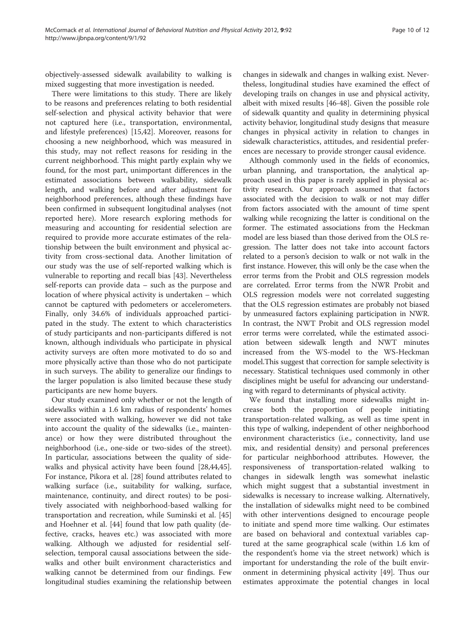objectively-assessed sidewalk availability to walking is mixed suggesting that more investigation is needed.

There were limitations to this study. There are likely to be reasons and preferences relating to both residential self-selection and physical activity behavior that were not captured here (i.e., transportation, environmental, and lifestyle preferences) [[15](#page-10-0)[,42](#page-11-0)]. Moreover, reasons for choosing a new neighborhood, which was measured in this study, may not reflect reasons for residing in the current neighborhood. This might partly explain why we found, for the most part, unimportant differences in the estimated associations between walkability, sidewalk length, and walking before and after adjustment for neighborhood preferences, although these findings have been confirmed in subsequent longitudinal analyses (not reported here). More research exploring methods for measuring and accounting for residential selection are required to provide more accurate estimates of the relationship between the built environment and physical activity from cross-sectional data. Another limitation of our study was the use of self-reported walking which is vulnerable to reporting and recall bias [\[43](#page-11-0)]. Nevertheless self-reports can provide data – such as the purpose and location of where physical activity is undertaken – which cannot be captured with pedometers or accelerometers. Finally, only 34.6% of individuals approached participated in the study. The extent to which characteristics of study participants and non-participants differed is not known, although individuals who participate in physical activity surveys are often more motivated to do so and more physically active than those who do not participate in such surveys. The ability to generalize our findings to the larger population is also limited because these study participants are new home buyers.

Our study examined only whether or not the length of sidewalks within a 1.6 km radius of respondents' homes were associated with walking, however we did not take into account the quality of the sidewalks (i.e., maintenance) or how they were distributed throughout the neighborhood (i.e., one-side or two-sides of the street). In particular, associations between the quality of sidewalks and physical activity have been found [\[28,44,45](#page-11-0)]. For instance, Pikora et al. [[28\]](#page-11-0) found attributes related to walking surface (i.e., suitability for walking, surface, maintenance, continuity, and direct routes) to be positively associated with neighborhood-based walking for transportation and recreation, while Suminski et al. [[45](#page-11-0)] and Hoehner et al. [[44\]](#page-11-0) found that low path quality (defective, cracks, heaves etc.) was associated with more walking. Although we adjusted for residential selfselection, temporal causal associations between the sidewalks and other built environment characteristics and walking cannot be determined from our findings. Few longitudinal studies examining the relationship between

changes in sidewalk and changes in walking exist. Nevertheless, longitudinal studies have examined the effect of developing trails on changes in use and physical activity, albeit with mixed results [\[46](#page-11-0)-[48\]](#page-11-0). Given the possible role of sidewalk quantity and quality in determining physical activity behavior, longitudinal study designs that measure changes in physical activity in relation to changes in sidewalk characteristics, attitudes, and residential preferences are necessary to provide stronger causal evidence.

Although commonly used in the fields of economics, urban planning, and transportation, the analytical approach used in this paper is rarely applied in physical activity research. Our approach assumed that factors associated with the decision to walk or not may differ from factors associated with the amount of time spent walking while recognizing the latter is conditional on the former. The estimated associations from the Heckman model are less biased than those derived from the OLS regression. The latter does not take into account factors related to a person's decision to walk or not walk in the first instance. However, this will only be the case when the error terms from the Probit and OLS regression models are correlated. Error terms from the NWR Probit and OLS regression models were not correlated suggesting that the OLS regression estimates are probably not biased by unmeasured factors explaining participation in NWR. In contrast, the NWT Probit and OLS regression model error terms were correlated, while the estimated association between sidewalk length and NWT minutes increased from the WS-model to the WS-Heckman model.This suggest that correction for sample selectivity is necessary. Statistical techniques used commonly in other disciplines might be useful for advancing our understanding with regard to determinants of physical activity.

We found that installing more sidewalks might increase both the proportion of people initiating transportation-related walking, as well as time spent in this type of walking, independent of other neighborhood environment characteristics (i.e., connectivity, land use mix, and residential density) and personal preferences for particular neighborhood attributes. However, the responsiveness of transportation-related walking to changes in sidewalk length was somewhat inelastic which might suggest that a substantial investment in sidewalks is necessary to increase walking. Alternatively, the installation of sidewalks might need to be combined with other interventions designed to encourage people to initiate and spend more time walking. Our estimates are based on behavioral and contextual variables captured at the same geographical scale (within 1.6 km of the respondent's home via the street network) which is important for understanding the role of the built environment in determining physical activity [\[49\]](#page-11-0). Thus our estimates approximate the potential changes in local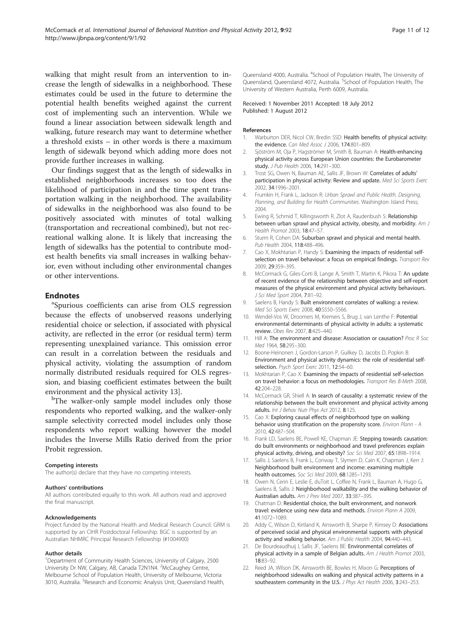<span id="page-10-0"></span>walking that might result from an intervention to increase the length of sidewalks in a neighborhood. These estimates could be used in the future to determine the potential health benefits weighed against the current cost of implementing such an intervention. While we found a linear association between sidewalk length and walking, future research may want to determine whether a threshold exists – in other words is there a maximum length of sidewalk beyond which adding more does not

provide further increases in walking. Our findings suggest that as the length of sidewalks in established neighborhoods increases so too does the likelihood of participation in and the time spent transportation walking in the neighborhood. The availability of sidewalks in the neighborhood was also found to be positively associated with minutes of total walking (transportation and recreational combined), but not recreational walking alone. It is likely that increasing the length of sidewalks has the potential to contribute modest health benefits via small increases in walking behavior, even without including other environmental changes or other interventions.

#### **Endnotes**

Spurious coefficients can arise from OLS regression because the effects of unobserved reasons underlying residential choice or selection, if associated with physical activity, are reflected in the error (or residual term) term representing unexplained variance. This omission error can result in a correlation between the residuals and physical activity, violating the assumption of random normally distributed residuals required for OLS regression, and biasing coefficient estimates between the built environment and the physical activity 13].

<sup>b</sup>The walker-only sample model includes only those respondents who reported walking, and the walker-only sample selectivity corrected model includes only those respondents who report walking however the model includes the Inverse Mills Ratio derived from the prior Probit regression.

#### Competing interests

The author(s) declare that they have no competing interests.

#### Authors' contributions

All authors contributed equally to this work. All authors read and approved the final manuscript.

#### Acknowledgements

Project funded by the National Health and Medical Research Council. GRM is supported by an CIHR Postdoctoral Fellowship. BGC is supported by an Australian NHMRC Principal Research Fellowship (#1004900)

#### Author details

<sup>1</sup>Department of Community Health Sciences, University of Calgary, 2500 University Dr NW, Calgary, AB, Canada T2N1N4. <sup>2</sup>McCaughey Centre, Melbourne School of Population Health, University of Melbourne, Victoria 3010, Australia. <sup>3</sup>Research and Economic Analysis Unit, Queensland Health,

Queensland 4000, Australia. <sup>4</sup>School of Population Health, The University of Queensland, Queensland 4072, Australia. <sup>5</sup>School of Population Health, The University of Western Australia, Perth 6009, Australia.

#### Received: 1 November 2011 Accepted: 18 July 2012 Published: 1 August 2012

#### References

- 1. Warburton DER, Nicol CW, Bredin SSD: Health benefits of physical activity: the evidence. Can Med Assoc J 2006, 174:801–809.
- 2. Sjöström M, Oja P, Hagströmer M, Smith B, Bauman A: Health-enhancing physical activity across European Union countries: the Eurobarometer study. J Pub Health 2006, 14:291–300.
- 3. Trost SG, Owen N, Bauman AE, Sallis JF, Brown W: Correlates of adults' participation in physical activity: Review and update. Med Sci Sports Exerc 2002, 34:1996–2001.
- 4. Frumkin H, Frank L, Jackson R: Urban Sprawl and Public Health. Designing, Planning, and Building for Health Communities. Washington: Island Press; 2004.
- 5. Ewing R, Schmid T, Killingsworth R, Zlot A, Raudenbush S: Relationship between urban sprawl and physical activity, obesity, and morbidity. Am J Health Promot 2003, 18:47–57.
- 6. Sturm R, Cohen DA: Suburban sprawl and physical and mental health. Pub Health 2004, 118:488–496.
- 7. Cao X, Mokhtarian P, Handy S: Examining the impacts of residential selfselection on travel behaviour: a focus on empirical findings. Transport Rev 2009, 29:359–395.
- 8. McCormack G, Giles-Corti B, Lange A, Smith T, Martin K, Pikora T: An update of recent evidence of the relationship between objective and self-report measures of the physical environment and physical activity behaviours. J Sci Med Sport 2004, 7:81–92.
- 9. Saelens B, Handy S: Built environment correlates of walking: a review. Med Sci Sports Exerc 2008, 40:S550–S566.
- 10. Wendel-Vos W, Droomers M, Kremers S, Brug J, van Lenthe F: Potential environmental determinants of physical activity in adults: a systematic review. Obes Rev 2007, 8:425–440.
- 11. Hill A: The environment and disease: Association or causation? Proc R Soc Med 1964, 58:295–300.
- 12. Boone-Heinonen J, Gordon-Larson P, Guilkey D, Jacobs D, Popkin B: Environment and physical activity dynamics: the role of residential selfselection. Psych Sport Exerc 2011, 12:54-60.
- 13. Mokhtarian P, Cao X: Examining the impacts of residential self-selection on travel behavior: a focus on methodologies. Transport Res B-Meth 2008, 42:204–228.
- 14. McCormack GR, Shiell A: In search of causality: a systematic review of the relationship between the built environment and physical activity among adults. Int J Behav Nutr Phys Act 2012, 8:125.
- 15. Cao X: Exploring causal effects of neighborhood type on walking behavior using stratification on the propensity score. Environ Plann - A 2010, 42:487–504.
- 16. Frank LD, Saelens BE, Powell KE, Chapman JE: Stepping towards causation: do built environments or neighborhood and travel preferences explain physical activity, driving, and obesity? Soc Sci Med 2007, 65:1898–1914.
- 17. Sallis J, Saelens B, Frank L, Conway T, Slymen D, Cain K, Chapman J, Kerr J: Neighborhood built environment and income: examining multiple health outcomes. Soc Sci Med 2009, 68:1285–1293.
- 18. Owen N, Cerin E, Leslie E, duToit L, Coffee N, Frank L, Bauman A, Hugo G, Saelens B, Sallis J: Neighborhood walkability and the walking behavior of Australian adults. Am J Prev Med 2007, 33:387–395.
- 19. Chatman D: Residential choice, the built environment, and nonwork travel: evidence using new data and methods. Environ Plann A 2009, 41:1072–1089.
- 20. Addy C, Wilson D, Kirtland K, Ainsworth B, Sharpe P, Kimsey D: Associations of perceived social and physical environmental supports with physical activity and walking behavior. Am J Public Health 2004, 94:440-443.
- 21. De Bourdeaudhuij I, Sallis JF, Saelens BE: Environmental correlates of physical activity in a sample of Belgian adults. Am J Health Promot 2003, 18:83–92.
- 22. Reed JA, Wilson DK, Ainsworth BE, Bowles H, Mixon G: Perceptions of neighborhood sidewalks on walking and physical activity patterns in a southeastern community in the U.S. J Phys Act Health 2006, 3:243-253.